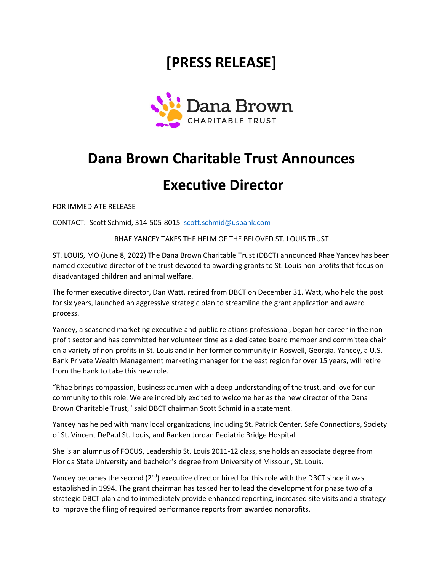## **[PRESS RELEASE]**



## **Dana Brown Charitable Trust Announces**

## **Executive Director**

FOR IMMEDIATE RELEASE

CONTACT: Scott Schmid, 314-505-8015 scott.schmid@usbank.com

RHAE YANCEY TAKES THE HELM OF THE BELOVED ST. LOUIS TRUST

ST. LOUIS, MO (June 8, 2022) The Dana Brown Charitable Trust (DBCT) announced Rhae Yancey has been named executive director of the trust devoted to awarding grants to St. Louis non-profits that focus on disadvantaged children and animal welfare.

The former executive director, Dan Watt, retired from DBCT on December 31. Watt, who held the post for six years, launched an aggressive strategic plan to streamline the grant application and award process.

Yancey, a seasoned marketing executive and public relations professional, began her career in the nonprofit sector and has committed her volunteer time as a dedicated board member and committee chair on a variety of non-profits in St. Louis and in her former community in Roswell, Georgia. Yancey, a U.S. Bank Private Wealth Management marketing manager for the east region for over 15 years, will retire from the bank to take this new role.

"Rhae brings compassion, business acumen with a deep understanding of the trust, and love for our community to this role. We are incredibly excited to welcome her as the new director of the Dana Brown Charitable Trust," said DBCT chairman Scott Schmid in a statement.

Yancey has helped with many local organizations, including St. Patrick Center, Safe Connections, Society of St. Vincent DePaul St. Louis, and Ranken Jordan Pediatric Bridge Hospital.

She is an alumnus of FOCUS, Leadership St. Louis 2011-12 class, she holds an associate degree from Florida State University and bachelor's degree from University of Missouri, St. Louis.

Yancey becomes the second  $(2^{nd})$  executive director hired for this role with the DBCT since it was established in 1994. The grant chairman has tasked her to lead the development for phase two of a strategic DBCT plan and to immediately provide enhanced reporting, increased site visits and a strategy to improve the filing of required performance reports from awarded nonprofits.